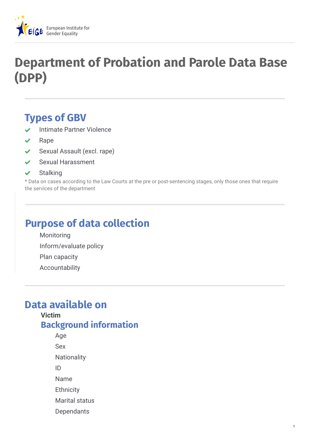

# **Department of Probation and Parole Data Base (DPP)**

## **Types of GBV**

- Intimate Partner Violence
- Rape
- ◆ Sexual Assault (excl. rape)
- Sexual Harassment
- $\checkmark$  Stalking

\* Data on cases according to the Law Courts at the pre or post-sentencing stages, only those ones that require the services of the department

## **Purpose of data collection**

Monitoring Inform/evaluate policy Plan capacity Accountability

## **Data available on**

#### **Victim**

### **Background information**

- Age
- Sex
- **Nationality**
- ID
- Name
- **Ethnicity**
- Marital status
- Dependants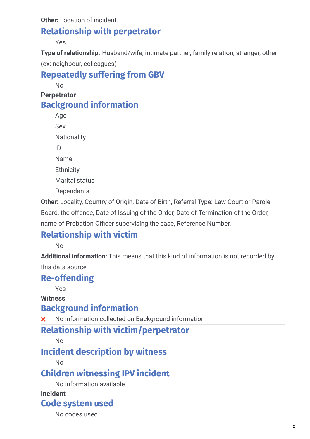### **Relationship with perpetrator**

Yes

**Type of relationship:** Husband/wife, intimate partner, family relation, stranger, other (ex: neighbour, colleagues)

## **Repeatedly suffering from GBV**

No

**Perpetrator**

### **Background information**

Age Sex **Nationality** ID Name **Ethnicity** Marital status **Dependants** 

**Other:** Locality, Country of Origin, Date of Birth, Referral Type: Law Court or Parole Board, the offence, Date of Issuing of the Order, Date of Termination of the Order, name of Probation Officer supervising the case, Reference Number.

## **Relationship with victim**

No

**Additional information:** This means that this kind of information is not recorded by this data source.

## **Re-offending**

Yes

**Witness**

## **Background information**

No information collected on Background information

## **Relationship with victim/perpetrator**

No

## **Incident description by witness**

No

## **Children witnessing IPV incident**

No information available

#### **Incident**

### **Code system used**

No codes used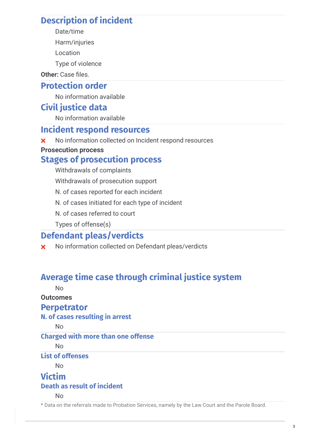### **Description of incident**

- Date/time
- Harm/injuries
- Location
- Type of violence

Other: Case files.

#### **Protection order**

No information available

### **Civil justice data**

No information available

#### **Incident respond resources**

**x** No information collected on Incident respond resources

#### **Prosecution process**

### **Stages of prosecution process**

Withdrawals of complaints

Withdrawals of prosecution support

N. of cases reported for each incident

- N. of cases initiated for each type of incident
- N. of cases referred to court

Types of offense(s)

### **Defendant pleas/verdicts**

**X** No information collected on Defendant pleas/verdicts

### **Average time case through criminal justice system**

No

#### **Outcomes**

#### **Perpetrator**

#### **N. of cases resulting in arrest**

 $N<sub>0</sub>$ 

#### **Charged with more than one offense**

 $N<sub>0</sub>$ 

#### **List of offenses**

No

## **Victim**

#### **Death as result of incident**

No

\* Data on the referrals made to Probation Services, namely by the Law Court and the Parole Board.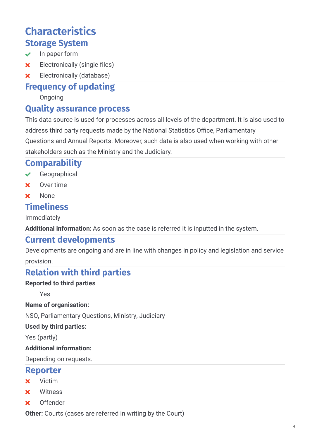## **Characteristics Storage System**

- $\vee$  In paper form
- **x** Electronically (single files)
- **x** Electronically (database)

#### **Frequency of updating**

Ongoing

### **Quality assurance process**

This data source is used for processes across all levels of the department. It is also used to address third party requests made by the National Statistics Office, Parliamentary Questions and Annual Reports. Moreover, such data is also used when working with other stakeholders such as the Ministry and the Judiciary.

### **Comparability**

- Geographical
- **x** Over time
- **x** None

#### **Timeliness**

Immediately

**Additional information:** As soon as the case is referred it is inputted in the system.

#### **Current developments**

Developments are ongoing and are in line with changes in policy and legislation and service provision.

### **Relation with third parties**

#### **Reported to third parties**

Yes

**Name of organisation:**

NSO, Parliamentary Questions, Ministry, Judiciary

#### **Used by third parties:**

Yes (partly)

#### **Additional information:**

Depending on requests.

#### **Reporter**

- $\times$  Victim
- **x** Witness
- Offender

**Other:** Courts (cases are referred in writing by the Court)